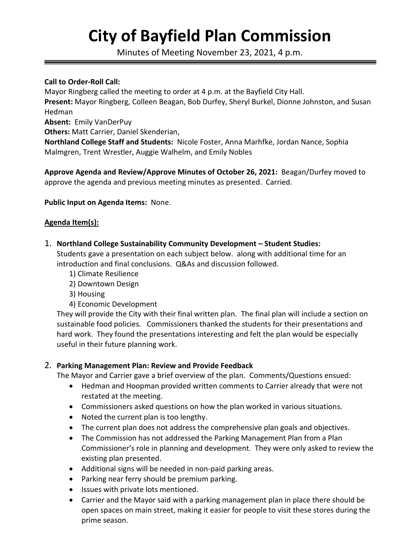# **City of Bayfield Plan Commission**

Minutes of Meeting November 23, 2021, 4 p.m.

#### **Call to Order-Roll Call:**

Mayor Ringberg called the meeting to order at 4 p.m. at the Bayfield City Hall. **Present:** Mayor Ringberg, Colleen Beagan, Bob Durfey, Sheryl Burkel, Dionne Johnston, and Susan Hedman

**Absent:** Emily VanDerPuy

**Others:** Matt Carrier, Daniel Skenderian,

**Northland College Staff and Students:** Nicole Foster, Anna Marhfke, Jordan Nance, Sophia Malmgren, Trent Wrestler, Auggie Walhelm, and Emily Nobles

**Approve Agenda and Review/Approve Minutes of October 26, 2021:** Beagan/Durfey moved to approve the agenda and previous meeting minutes as presented. Carried.

### **Public Input on Agenda Items:** None.

### **Agenda Item(s):**

1. **Northland College Sustainability Community Development – Student Studies:**

Students gave a presentation on each subject below. along with additional time for an introduction and final conclusions. Q&As and discussion followed.

- 1) Climate Resilience
- 2) Downtown Design
- 3) Housing
- 4) Economic Development

They will provide the City with their final written plan. The final plan will include a section on sustainable food policies. Commissioners thanked the students for their presentations and hard work. They found the presentations interesting and felt the plan would be especially useful in their future planning work.

## 2. **Parking Management Plan: Review and Provide Feedback**

The Mayor and Carrier gave a brief overview of the plan. Comments/Questions ensued:

- Hedman and Hoopman provided written comments to Carrier already that were not restated at the meeting.
- Commissioners asked questions on how the plan worked in various situations.
- Noted the current plan is too lengthy.
- The current plan does not address the comprehensive plan goals and objectives.
- The Commission has not addressed the Parking Management Plan from a Plan Commissioner's role in planning and development. They were only asked to review the existing plan presented.
- Additional signs will be needed in non-paid parking areas.
- Parking near ferry should be premium parking.
- Issues with private lots mentioned.
- Carrier and the Mayor said with a parking management plan in place there should be open spaces on main street, making it easier for people to visit these stores during the prime season.